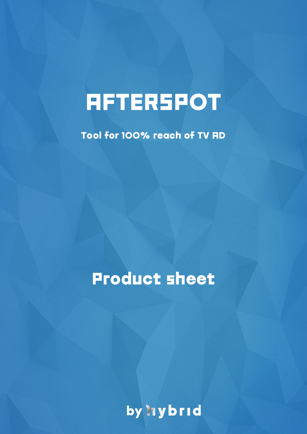# **AFTERSPOT**

Tool for 100% reach of TV AD

Product sheet

by **hybrid**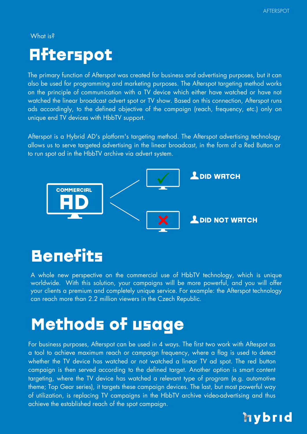What is?

### Afterspot

The primary function of Afterspot was created for business and advertising purposes, but it can also be used for programming and marketing purposes. The Afterspot targeting method works on the principle of communication with a TV device which either have watched or have not watched the linear broadcast advert spot or TV show. Based on this connection, Afterspot runs ads accordingly, to the defined objective of the campaign (reach, frequency, etc.) only on unique end TV devices with HbbTV support.

Afterspot is a Hybrid AD's platform's targeting method. The Afterspot advertising technology allows us to serve targeted advertising in the linear broadcast, in the form of a Red Button or to run spot ad in the HbbTV archive via advert system.



**Benefits** 

A whole new perspective on the commercial use of HbbTV technology, which is unique worldwide. With this solution, your campaigns will be more powerful, and you will offer your clients a premium and completely unique service. For example: the Afterspot technology can reach more than 2.2 million viewers in the Czech Republic.

### Methods of usage

For business purposes, Afterspot can be used in 4 ways. The first two work with Aftespot as a tool to achieve maximum reach or campaign frequency, where a flag is used to detect whether the TV device has watched or not watched a linear TV ad spot. The red button campaign is then served according to the defined target. Another option is smart content targeting, where the TV device has watched a relevant type of program (e.g. automotive theme; Top Gear series), it targets these campaign devices. The last, but most powerful way of utilization, is replacing TV campaigns in the HbbTV archive video-advertising and thus achieve the established reach of the spot campaign.

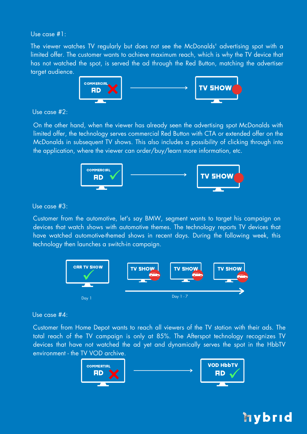Use case #1:

The viewer watches TV regularly but does not see the McDonalds' advertising spot with a limited offer. The customer wants to achieve maximum reach, which is why the TV device that has not watched the spot, is served the ad through the Red Button, matching the advertiser target audience.



### Use case #2:

On the other hand, when the viewer has already seen the advertising spot McDonalds with limited offer, the technology serves commercial Red Button with CTA or extended offer on the McDonalds in subsequent TV shows. This also includes a possibility of clicking through into the application, where the viewer can order/buy/learn more information, etc.



Use case #3:

Customer from the automotive, let's say BMW, segment wants to target his campaign on devices that watch shows with automotive themes. The technology reports TV devices that have watched automotive-themed shows in recent days. During the following week, this technology then launches a switch-in campaign.



### Use case #4:

Customer from Home Depot wants to reach all viewers of the TV station with their ads. The total reach of the TV campaign is only at 85%. The Afterspot technology recognizes TV devices that have not watched the ad yet and dynamically serves the spot in the HbbTV environment - the TV VOD archive.



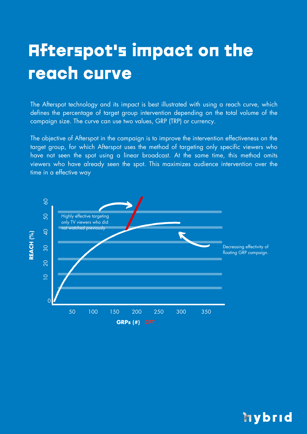## Afterspot's impact on the reach curve

The Afterspot technology and its impact is best illustrated with using a reach curve, which defines the percentage of target group intervention depending on the total volume of the campaign size. The curve can use two values, GRP (TRP) or currency.

The objective of Afterspot in the campaign is to improve the intervention effectiveness on the target group, for which Afterspot uses the method of targeting only specific viewers who have not seen the spot using a linear broadcast. At the same time, this method omits viewers who have already seen the spot. This maximizes audience intervention over the time in a effective way



### hybrid